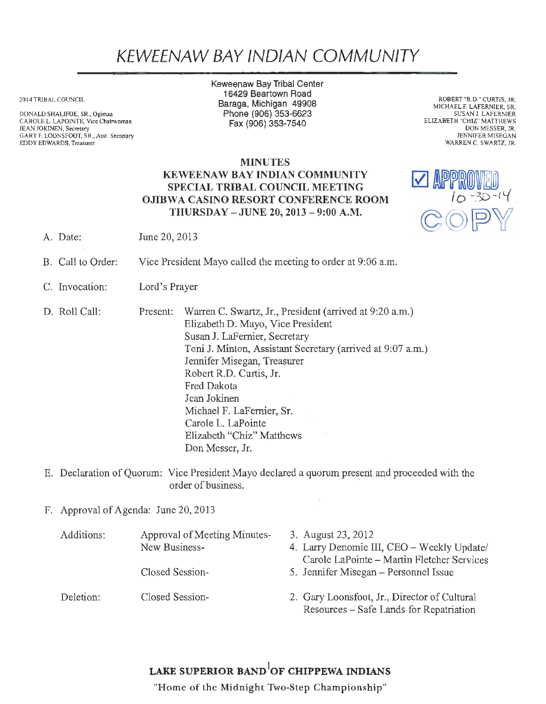## KEWEENAW BAY IND/AN COMMUNITY

20 14 TRIBAL COUNCIL

DONALD SHALIFOE, SR., Ogimaa CAROLE L. LAPOINTE, Vice Chairwoman JEAN JOKINEN, Secretary GARY F. LOONSFOOT, SR., Asst. Secretary EDDY EDWARDS, Treasurer

Keweenaw Bay Tribal Center 16429 Beartown Road Baraga, Michigan 49908 Phone(906)353-6623 Fax(906)353-7540

ROBERT "R.D." CURTIS, JR. MICHAEL F. LAFERNIER, SR. SUSAN J. LAFERNIER ELIZABETH "CHIZ" MATTHEWS DON MESSER, JR. JENNIFER MISEGAN WARREN C. SWARTZ, JR.

## MINUTES KEWEENAW BAY INDIAN COMMUNITY SPECIAL TRIBAL COUNCIL MEETING OJIBWA CASINO RESORT CONFERENCE ROOM THURSDAY -JUNE 20, 2013 - 9:00 A.M.



- A. Date: June 20, 2013
- B. Call to Order: Vice President Mayo called the meeting to order at 9:06 a.m.
- C. Invocation: Lord's Prayer
- D. Roll Call: Present: Warren C. Swartz, Jr., President (arrived at 9:20 a.m.) Elizabeth D. Mayo, Vice President Susan J. LaFernier, Secretary Toni J. Minton, Assistant Secretary (arrived at 9:07 a.m.) Jennifer Misegan, Treasurer Robert R.D. Curtis, Jr. Fred Dakota Jean Jokinen Michael F. LaFernier, Sr. Carole L. LaPointe Elizabeth "Chiz" Matthews Don Messer, Jr.
- E. Declaration of Quorum: Vice President Mayo declared a quorum present and proceeded with the order of business.
- F. Approval of Agenda: June 20, 2013

| Additions: | Approval of Meeting Minutes- | 3. August 23, 2012                           |
|------------|------------------------------|----------------------------------------------|
|            | New Business-                | 4. Larry Denomie III, CEO - Weekly Update/   |
|            |                              | Carole LaPointe - Martin Fletcher Services   |
|            | Closed Session-              | 5. Jennifer Misegan – Personnel Issue        |
| Deletion:  | Closed Session-              | 2. Gary Loonsfoot, Jr., Director of Cultural |
|            |                              | Resources – Safe Lands for Repatriation      |

 $\sim$   $^{\circ}$ 

## LAKE SUPERIOR BAND $^{\mathrm{l}}$ OF CHIPPEWA INDIANS

"Home of the Midnight Two-Step Championship"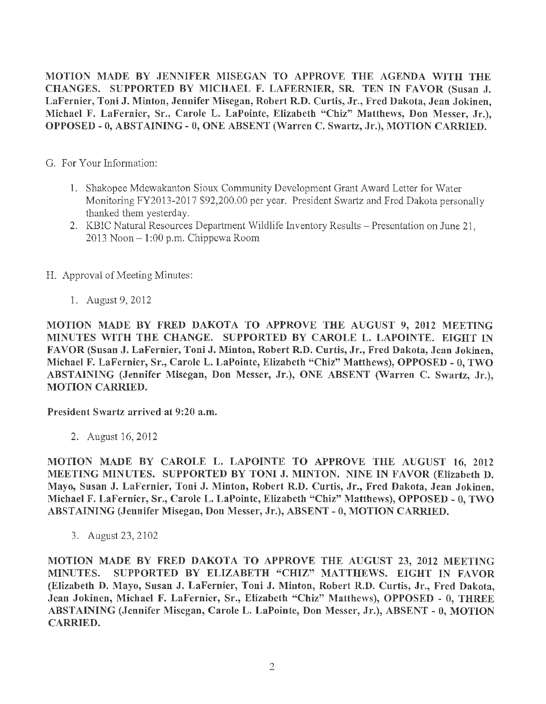MOTION MADE BY JENNIFER MISEGAN TO APPROVE THE AGENDA WITH THE CHANGES. SUPPORTED BY MICHAEL F. LAFERNIER, SR. TEN IN FAVOR (Susan J. LaFernier, Toni J. Minton, Jennifer Misegan, Robert R.D. Curtis, Jr., Fred Dakota, Jean Jokinen, Michael F. LaFernier, Sr., Carole L. LaPointe, Elizabeth "Chiz" Matthews, Don Messer, Jr.), OPPOSED - O, ABSTAINING - 0, ONE ABSENT (Warren C. Swartz, Jr.), MOTION CARRIED.

- G. For Your Information:
	- 1. Shakopee Mdewakanton Sioux Community Development Grant Award Letter for Water Monitoring FY2013-2017 \$92,200.00 per year. President Swartz and Fred Dakota personally thanked them yesterday.
	- 2. KBIC Natural Resources Department Wildlife Inventory Results Presentation on June 21,  $2013$  Noon  $-1:00$  p.m. Chippewa Room
- H. Approval of Meeting Minutes:
	- 1. August 9, 2012

MOTION MADE BY FRED DAKOTA TO APPROVE THE AUGUST 9, 2012 MEETING MINUTES WITH THE CHANGE. SUPPORTED BY CAROLE L. LAPOINTE. EIGHT IN FAVOR (Susan J. LaFernier, Toni J. Minton, Robert R.D. Curtis, Jr., Fred Dakota, Jean Jokinen, Michael F. LaFernier, Sr., Carole L. LaPointe, Elizabeth "Chiz" Matthews), OPPOSED - O, TWO ABSTAINING (Jennifer Misegan, Don Messer, Jr.), ONE ABSENT (Warren C. Swartz, Jr.), MOTION CARRIED.

President Swartz arrived at 9:20 a.m.

2. August 16, 2012

MOTION MADE BY CAROLE L. LAPOINTE TO APPROVE THE AUGUST 16, 2012 MEETING MINUTES. SUPPORTED BY TONI J. MINTON. NINE IN FAVOR (Elizabeth D. Mayo, Susan J. LaFernier, Toni J. Minton, Robert R.D. Curtis, Jr., Fred Dakota, Jean Jokinen, Michael F. LaFernier, Sr., Carole L. LaPointe, Elizabeth "Chiz" Matthews), OPPOSED - O, TWO ABSTAINING (Jennifer Misegan, Don Messer, Jr.), ABSENT - 0, MOTION CARRIED.

3. August 23, 2102

MOTION MADE BY FRED DAKOTA TO APPROVE THE AUGUST 23, 2012 MEETING MINUTES. SUPPORTED BY ELIZABETH "CHIZ" MATTHEWS. EIGHT IN FAVOR (Elizabeth D. Mayo, Susan J. LaFernier, Toni J. Minton, Robert R.D. Curtis, Jr., Fred Dakota, Jean Jokinen, Michael F. LaFernier, Sr., Elizabeth "Chiz" Matthews), OPPOSED - O, THREE ABSTAINING (Jennifer Misegan, Carole L. LaPointe, Don Messer, Jr.), ABSENT - O, MOTION CARRIED.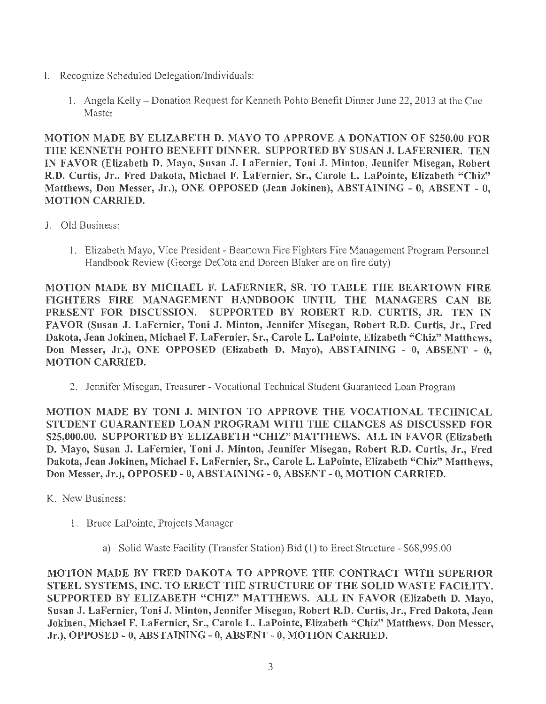- I. Recognize Scheduled Delegation/Individuals:
	- 1. Angela Kelly Donation Request for Kenneth Pohto Benefit Dinner June 22, 2013 at the Cue Master

MOTION MADE BY ELIZABETH D. MAYO TO APPROVE A DONATION OF \$250.00 FOR THE KENNETH POHTO BENEFIT DINNER. SUPPORTED BY SUSAN J. LAFERNIER. TEN IN FAVOR (Elizabeth D. Mayo, Susan J. LaFernier, Toni J. Minton, Jennifer Misegan, Robert R.D. Curtis, Jr., Fred Dakota, Michael F. LaFernier, Sr., Carole L. LaPointe, Elizabeth "Chiz" Matthews, Don Messer, Jr.), ONE OPPOSED (Jean Jokinen), ABSTAINING - 0, ABSENT - 0, MOTION CARRIED.

- J. Old Business:
	- 1. Elizabeth Mayo, Vice President Beartown Fire Fighters Fire Management Program Personnel Handbook Review (George DeCota and Doreen Blaker are on fire duty)

MOTION MADE BY MICHAEL F. LAFERNIER, SR. TO TABLE THE BEARTOWN FIRE FIGHTERS FIRE MANAGEMENT HANDBOOK UNTIL THE MANAGERS CAN BE PRESENT FOR DISCUSSION. SUPPORTED BY ROBERT R.D. CURTIS, JR. TEN IN FAVOR (Susan J. LaFernier, Toni J. Minton, Jennifer Misegan, Robert R.D. Curtis, Jr., Fred Dakota, Jean Jokinen, Michael F. LaFernier, Sr., Carole L. LaPointe, Elizabeth "Chiz" Matthews, Don Messer, Jr.), ONE OPPOSED (Elizabeth D. Mayo), ABSTAINING - O, ABSENT - O, MOTION CARRIED.

2. Jennifer Misegan, Treasurer - Vocational Technical Student Guaranteed Loan Program

MOTION MADE BY TONI J. MINTON TO APPROVE THE VOCATIONAL TECHNICAL STUDENT GUARANTEED LOAN PROGRAM WITH THE CHANGES AS DISCUSSED FOR \$25,000.00. SUPPORTED BY ELIZABETH "CHIZ" MATTHEWS. ALL IN FAVOR (Elizabeth D. Mayo, Susan J. LaFernier, Toni J. Minton, Jennifer Misegan, Robert R.D. Curtis, Jr., Fred Dakota, Jean Jokinen, Michael F. LaFernier, Sr., Carole L. LaPointe, Elizabeth "Chiz" Matthews, Don Messer, Jr.), OPPOSED - 0, ABSTAINING - O, ABSENT - O, MOTION CARRIED.

- K. New Business:
	- 1. Bruce LaPointe, Projects Manager
		- a) Solid Waste Facility (Transfer Station) Bid (1) to Erect Structure \$68,995.00

MOTION MADE BY FRED DAKOTA TO APPROVE THE CONTRACT WITH SUPERIOR STEEL SYSTEMS, INC. TO ERECT THE STRUCTURE OF THE SOLID WASTE FACILITY. SUPPORTED BY ELIZABETH "CHIZ" MATTHEWS. ALL IN FAVOR (Elizabeth D. Mayo, Susan J. LaFernier, Toni J. Minton, Jennifer Misegan, Robert R.D. Curtis, Jr., Fred Dakota, Jean Jokinen, Michael F. LaFernier, Sr., Carole L. LaPointe, Elizabeth "Chiz" Matthews, Don Messer, Jr.), OPPOSED- 0, ABSTAINING-0, ABSENT - O, MOTION CARRIED.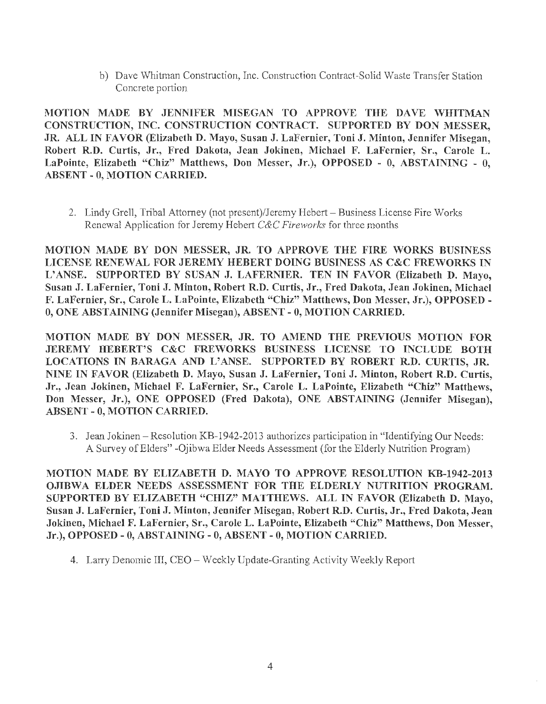b) Dave Whitman Construction, Inc. Construction Contract-Solid Waste Transfer Station Concrete portion

MOTION MADE BY JENNIFER MISEGAN TO APPROVE THE DAVE WHITMAN CONSTRUCTION, INC. CONSTRUCTION CONTRACT. SUPPORTED BY DON MESSER, JR. ALL IN FAVOR (Elizabeth D. Mayo, Susan J. LaFernier, Toni J. Minton, Jennifer Misegan, Robert R.D. Curtis, Jr., Fred Dakota, Jean Jokinen, Michael F. LaFernier, Sr., Carole L. LaPointe, Elizabeth "Chiz" Matthews, Don Messer, Jr.), OPPOSED - O, ABSTAINING - O, ABSENT - O, MOTION CARRIED.

2. Lindy Grell, Tribal Attorney (not present)/Jeremy Hebert – Business License Fire Works Renewal Application for Jeremy Hebert *C&C Fireworks* for three months

MOTION MADE BY DON MESSER, JR. TO APPROVE THE FIRE WORKS BUSINESS LICENSE RENEWAL FOR JEREMY HEBERT DOING BUSINESS AS C&C FREWORKS IN L'ANSE. SUPPORTED BY SUSAN J. LAFERNIER. TEN IN FAVOR (Elizabeth D. Mayo, Susan J. LaFernier, Toni J. Minton, Robert R.D. Curtis, Jr., Fred Dakota, Jean Jokinen, Michael F. LaFernier, Sr., Carole L. LaPointe, Elizabeth "Chiz" Matthews, Don Messer, Jr.), OPPOSED - 0, ONE ABSTAINING (Jennifer Misegan), ABSENT- 0, MOTION CARRIED.

MOTION MADE BY DON MESSER, JR. TO AMEND THE PREVIOUS MOTION FOR JEREMY HEBERT'S C&C FREWORKS BUSINESS LICENSE TO INCLUDE BOTH LOCATIONS IN BARAGA AND L'ANSE. SUPPORTED BY ROBERT R.D. CURTIS, JR. NINE IN FAVOR (Elizabeth D. Mayo, Susan J. LaFernier, Toni J. Minton, Robert R.D. Curtis, Jr., Jean Jokinen, Michael F. LaFernier, Sr., Carole L. LaPointe, Elizabeth "Chiz" Matthews, Don Messer, Jr.), ONE OPPOSED (Fred Dakota), ONE ABSTAINING (Jennifer Misegan), ABSENT - O, MOTION CARRIED.

3. Jean Jokinen -Resolution KB-1942-2013 authorizes participation in "Identifying Our Needs: A Survey of Elders" -Ojibwa Elder Needs Assessment (for the Elderly Nutrition Program)

MOTION MADE BY ELIZABETH D. MAYO TO APPROVE RESOLUTION KB-1942-2013 OJIBWA ELDER NEEDS ASSESSMENT FOR THE ELDERLY NUTRITION PROGRAM. SUPPORTED BY ELIZABETH "CHIZ" MATTHEWS. ALL IN FAVOR (Elizabeth D. Mayo, Susan J. LaFernier, Toni J. Minton, Jennifer Misegan, Robert R.D. Curtis, Jr., Fred Dakota, Jean Jokinen, Michael F. LaFernier, Sr., Carole L. LaPointe, Elizabeth "Chiz" Matthews, Don Messer, Jr.), OPPOSED - O, ABSTAINING - 0, ABSENT - O, MOTION CARRIED.

4. Larry Denomie III, CEO- Weekly Update-Granting Activity Weekly Report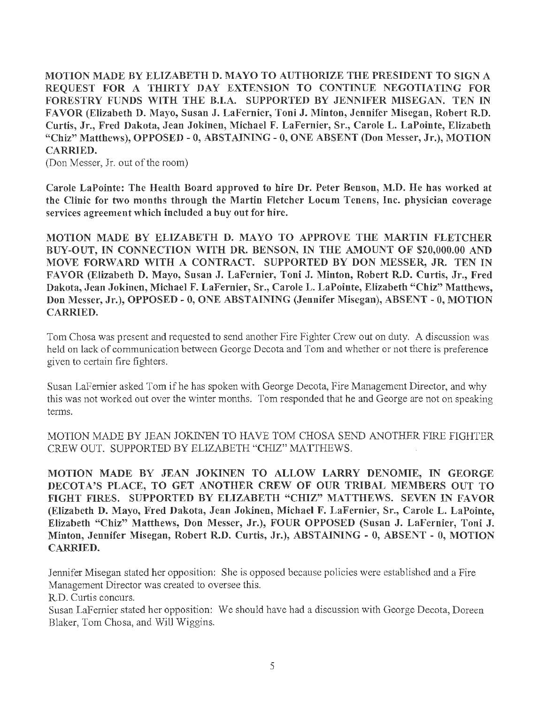MOTION MADE BY ELIZABETH D. MAYO TO AUTHORIZE THE PRESIDENT TO SIGN A REQUEST FOR A THIRTY DAY EXTENSION TO CONTINUE NEGOTIATING FOR FORESTRY FUNDS WITH THE B.I.A. SUPPORTED BY JENNIFER MISEGAN. TEN IN FAVOR (Elizabeth D. Mayo, Susan J. LaFernier, Toni J. Minton, Jennifer Misegan, Robert R.D. Curtis, Jr., Fred Dakota, Jean Jokinen, Michael F. LaFernier, Sr., Carole L. LaPointe, Elizabeth "Chiz" Matthews), OPPOSED - O, ABSTAINING - O, ONE ABSENT (Don Messer, Jr.), MOTION CARRIED.

(Don Messer, Jr. out of the room)

Carole LaPointe: The Health Board approved to hire Dr. Peter Benson, M.D. He has worked at the Clinic for two months through the Martin Fletcher Locum Tenens, Inc. physician coverage services agreement which included a buy out for hire.

MOTION MADE BY ELIZABETH D. MAYO TO APPROVE THE MARTIN FLETCHER BUY-OUT, IN CONNECTION WITH DR. BENSON, IN THE AMOUNT OF \$20,000.00 AND MOVE FORWARD WITH A CONTRACT. SUPPORTED BY DON MESSER, JR. TEN IN FAVOR (Elizabeth D. Mayo, Susan J. LaFernier, Toni J. Minton, Robert R.D. Curtis, Jr., Fred Dakota, Jean Jokinen, Michael F. LaFernier, Sr., Carole L. LaPointe, Elizabeth "Chiz" Matthews, Don Messer, Jr.), OPPOSED - O, ONE ABSTAINING (Jennifer Misegan), ABSENT - 0, MOTION CARRIED.

Tom Chosa was present and requested to send another Fire Fighter Crew out on duty. A discussion was held on lack of communication between George Decota and Tom and whether or not there is preference given to certain fire fighters.

Susan LaFernier asked Tom if he has spoken with George Decota, Fire Management Director, and why this was not worked out over the winter months. Tom responded that he and George are not on speaking terms.

MOTION MADE BY JEAN JOKINEN TO HA VE TOM CHOSA SEND ANOTHER FIRE FIGHTER CREW OUT. SUPPORTED BY ELIZABETH "CHIZ" MATTHEWS.

MOTION MADE BY JEAN JOKINEN TO ALLOW LARRY DENOMIE, IN GEORGE DECOTA'S PLACE, TO GET ANOTHER CREW OF OUR TRIBAL MEMBERS OUT TO FIGHT FIRES. SUPPORTED BY ELIZABETH "CHIZ" MATTHEWS. SEVEN IN FAVOR (Elizabeth D. Mayo, Fred Dakota, Jean Jokinen, Michael F. LaFernier, Sr., Carole L. LaPointe, Elizabeth "Chiz" Matthews, Don Messer, Jr.), FOUR OPPOSED (Susan J. LaFernier, Toni J. Minton, Jennifer Misegan, Robert R.D. Curtis, Jr.), ABSTAINING - 0, ABSENT - O, MOTION CARRIED.

Jennifer Misegan stated her opposition: She is opposed because policies were established and a Fire Management Director was created to oversee this.

R.D. Curtis concurs.

Susan LaFemier stated her opposition: We should have had a discussion with George Decota, Doreen Blaker, Tom Chosa, and Will Wiggins.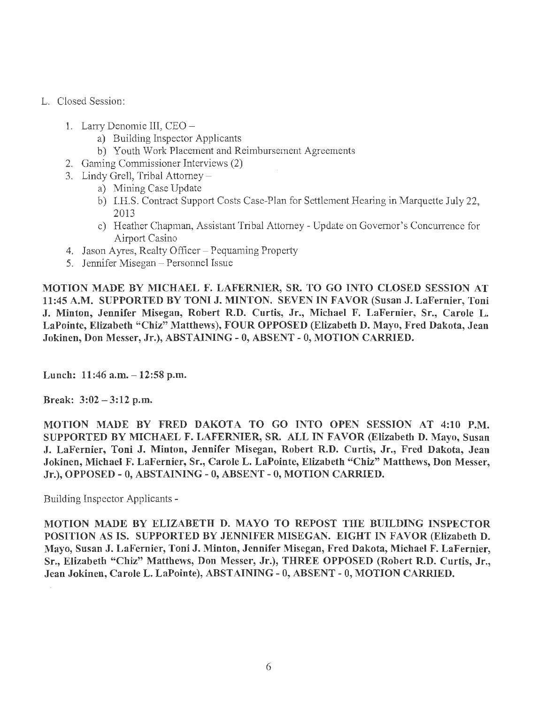- L. Closed Session:
	- 1. Larry Denomie III, CEO
		- a) Building Inspector Applicants
		- b) Youth Work Placement and Reimbursement Agreements
	- 2. Gaming Commissioner Interviews (2)
	- 3. Lindy Grell, Tribal Attorney
		- a) Mining Case Update
		- b) I.H.S. Contract Support Costs Case-Plan for Settlement Hearing in Marquette July 22, 2013
		- c) Heather Chapman, Assistant Tribal Attorney Update on Governor's Concurrence for Airport Casino
	- 4. Jason Ayres, Realty Officer Pequaming Property
	- 5. Jennifer Misegan Personnel Issue

MOTION MADE BY MICHAEL F. LAFERNIER, SR. TO GO INTO CLOSED SESSION AT 11:45 A.M. SUPPORTED BY TONI J. MINTON. SEVEN IN FAVOR (Susan J. LaFernier, Toni J. Minton, Jennifer Misegan, Robert R.D. Curtis, Jr., Michael F. LaFernier, Sr., Carole L. LaPointe, Elizabeth "Chiz" Matthews), FOUR OPPOSED (Elizabeth D. Mayo, Fred Dakota, Jean Jokinen, Don Messer, Jr.), ABSTAINING - O, ABSENT- 0, MOTION CARRIED.

Lunch: 11:46 a.m. - 12:58 p.m.

Break:  $3:02 - 3:12$  p.m.

MOTION MADE BY FRED DAKOTA TO GO INTO OPEN SESSION AT 4:10 P.M. SUPPORTED BY MICHAEL F. LAFERNIER, SR. ALL IN FAVOR (Elizabeth D. Mayo, Susan J. LaFernier, Toni J. Minton, Jennifer Misegan, Robert R.D. Curtis, Jr., Fred Dakota, Jean Jokinen, Michael F. LaFernier, Sr., Carole L. LaPointe, Elizabeth "Chiz" Matthews, Don Messer, Jr.), OPPOSED- O, ABSTAINING-0, ABSENT-0, MOTION CARRIED.

Building Inspector Applicants -

MOTION MADE BY ELIZABETH D. MAYO TO REPOST THE BUILDING INSPECTOR POSITION AS IS. SUPPORTED BY JENNIFER MISEGAN. EIGHT IN FAVOR (Elizabeth D. Mayo, Susan J. LaFernier, Toni J. Minton, Jennifer Misegan, Fred Dakota, Michael F. LaFernier, Sr., Elizabeth "Chiz" Matthews, Don Messer, Jr.), THREE OPPOSED (Robert R.D. Curtis, Jr., Jean Jokinen, Carole L. LaPointe), ABSTAINING- O, ABSENT- 0, MOTION CARRIED.